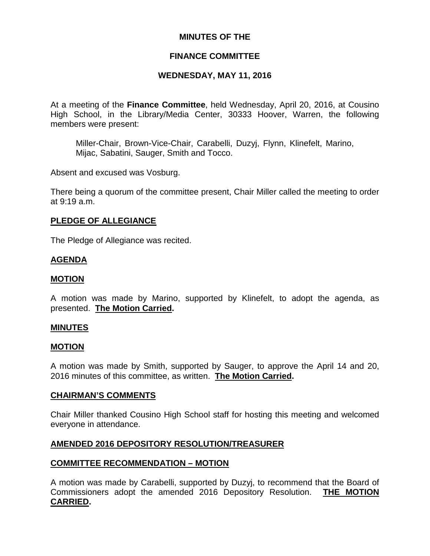### **MINUTES OF THE**

#### **FINANCE COMMITTEE**

#### **WEDNESDAY, MAY 11, 2016**

At a meeting of the **Finance Committee**, held Wednesday, April 20, 2016, at Cousino High School, in the Library/Media Center, 30333 Hoover, Warren, the following members were present:

Miller-Chair, Brown-Vice-Chair, Carabelli, Duzyj, Flynn, Klinefelt, Marino, Mijac, Sabatini, Sauger, Smith and Tocco.

Absent and excused was Vosburg.

There being a quorum of the committee present, Chair Miller called the meeting to order at 9:19 a.m.

#### **PLEDGE OF ALLEGIANCE**

The Pledge of Allegiance was recited.

#### **AGENDA**

#### **MOTION**

A motion was made by Marino, supported by Klinefelt, to adopt the agenda, as presented. **The Motion Carried.**

#### **MINUTES**

#### **MOTION**

A motion was made by Smith, supported by Sauger, to approve the April 14 and 20, 2016 minutes of this committee, as written. **The Motion Carried.**

#### **CHAIRMAN'S COMMENTS**

Chair Miller thanked Cousino High School staff for hosting this meeting and welcomed everyone in attendance.

#### **AMENDED 2016 DEPOSITORY RESOLUTION/TREASURER**

### **COMMITTEE RECOMMENDATION – MOTION**

A motion was made by Carabelli, supported by Duzyj, to recommend that the Board of Commissioners adopt the amended 2016 Depository Resolution. **THE MOTION CARRIED.**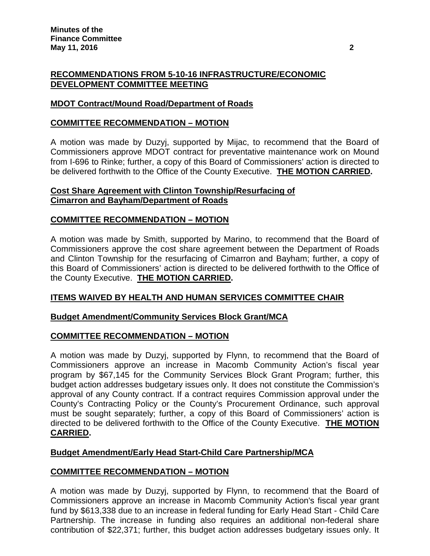### **RECOMMENDATIONS FROM 5-10-16 INFRASTRUCTURE/ECONOMIC DEVELOPMENT COMMITTEE MEETING**

## **MDOT Contract/Mound Road/Department of Roads**

### **COMMITTEE RECOMMENDATION – MOTION**

A motion was made by Duzyj, supported by Mijac, to recommend that the Board of Commissioners approve MDOT contract for preventative maintenance work on Mound from I-696 to Rinke; further, a copy of this Board of Commissioners' action is directed to be delivered forthwith to the Office of the County Executive. **THE MOTION CARRIED.**

### **Cost Share Agreement with Clinton Township/Resurfacing of Cimarron and Bayham/Department of Roads**

## **COMMITTEE RECOMMENDATION – MOTION**

A motion was made by Smith, supported by Marino, to recommend that the Board of Commissioners approve the cost share agreement between the Department of Roads and Clinton Township for the resurfacing of Cimarron and Bayham; further, a copy of this Board of Commissioners' action is directed to be delivered forthwith to the Office of the County Executive. **THE MOTION CARRIED.**

## **ITEMS WAIVED BY HEALTH AND HUMAN SERVICES COMMITTEE CHAIR**

### **Budget Amendment/Community Services Block Grant/MCA**

### **COMMITTEE RECOMMENDATION – MOTION**

A motion was made by Duzyj, supported by Flynn, to recommend that the Board of Commissioners approve an increase in Macomb Community Action's fiscal year program by \$67,145 for the Community Services Block Grant Program; further, this budget action addresses budgetary issues only. It does not constitute the Commission's approval of any County contract. If a contract requires Commission approval under the County's Contracting Policy or the County's Procurement Ordinance, such approval must be sought separately; further, a copy of this Board of Commissioners' action is directed to be delivered forthwith to the Office of the County Executive. **THE MOTION CARRIED.**

### **Budget Amendment/Early Head Start-Child Care Partnership/MCA**

### **COMMITTEE RECOMMENDATION – MOTION**

A motion was made by Duzyj, supported by Flynn, to recommend that the Board of Commissioners approve an increase in Macomb Community Action's fiscal year grant fund by \$613,338 due to an increase in federal funding for Early Head Start - Child Care Partnership. The increase in funding also requires an additional non-federal share contribution of \$22,371; further, this budget action addresses budgetary issues only. It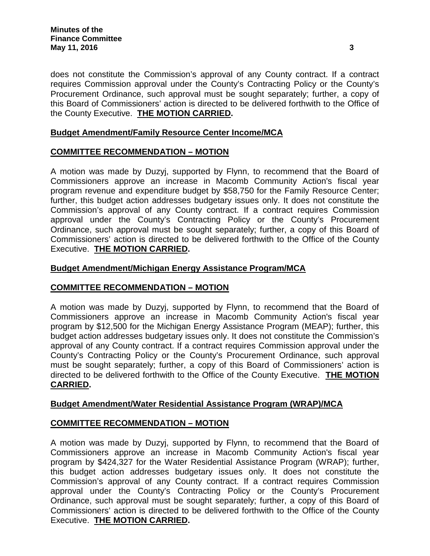does not constitute the Commission's approval of any County contract. If a contract requires Commission approval under the County's Contracting Policy or the County's Procurement Ordinance, such approval must be sought separately; further, a copy of this Board of Commissioners' action is directed to be delivered forthwith to the Office of the County Executive. **THE MOTION CARRIED.**

## **Budget Amendment/Family Resource Center Income/MCA**

### **COMMITTEE RECOMMENDATION – MOTION**

A motion was made by Duzyj, supported by Flynn, to recommend that the Board of Commissioners approve an increase in Macomb Community Action's fiscal year program revenue and expenditure budget by \$58,750 for the Family Resource Center; further, this budget action addresses budgetary issues only. It does not constitute the Commission's approval of any County contract. If a contract requires Commission approval under the County's Contracting Policy or the County's Procurement Ordinance, such approval must be sought separately; further, a copy of this Board of Commissioners' action is directed to be delivered forthwith to the Office of the County Executive. **THE MOTION CARRIED.**

### **Budget Amendment/Michigan Energy Assistance Program/MCA**

### **COMMITTEE RECOMMENDATION – MOTION**

A motion was made by Duzyj, supported by Flynn, to recommend that the Board of Commissioners approve an increase in Macomb Community Action's fiscal year program by \$12,500 for the Michigan Energy Assistance Program (MEAP); further, this budget action addresses budgetary issues only. It does not constitute the Commission's approval of any County contract. If a contract requires Commission approval under the County's Contracting Policy or the County's Procurement Ordinance, such approval must be sought separately; further, a copy of this Board of Commissioners' action is directed to be delivered forthwith to the Office of the County Executive. **THE MOTION CARRIED.**

### **Budget Amendment/Water Residential Assistance Program (WRAP)/MCA**

## **COMMITTEE RECOMMENDATION – MOTION**

A motion was made by Duzyj, supported by Flynn, to recommend that the Board of Commissioners approve an increase in Macomb Community Action's fiscal year program by \$424,327 for the Water Residential Assistance Program (WRAP); further, this budget action addresses budgetary issues only. It does not constitute the Commission's approval of any County contract. If a contract requires Commission approval under the County's Contracting Policy or the County's Procurement Ordinance, such approval must be sought separately; further, a copy of this Board of Commissioners' action is directed to be delivered forthwith to the Office of the County Executive. **THE MOTION CARRIED.**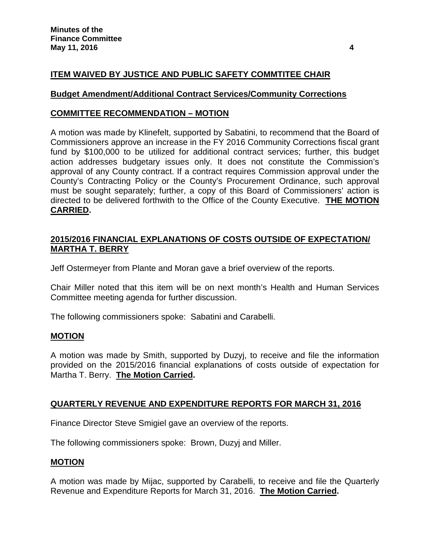## **ITEM WAIVED BY JUSTICE AND PUBLIC SAFETY COMMTITEE CHAIR**

#### **Budget Amendment/Additional Contract Services/Community Corrections**

#### **COMMITTEE RECOMMENDATION – MOTION**

A motion was made by Klinefelt, supported by Sabatini, to recommend that the Board of Commissioners approve an increase in the FY 2016 Community Corrections fiscal grant fund by \$100,000 to be utilized for additional contract services; further, this budget action addresses budgetary issues only. It does not constitute the Commission's approval of any County contract. If a contract requires Commission approval under the County's Contracting Policy or the County's Procurement Ordinance, such approval must be sought separately; further, a copy of this Board of Commissioners' action is directed to be delivered forthwith to the Office of the County Executive. **THE MOTION CARRIED.**

### **2015/2016 FINANCIAL EXPLANATIONS OF COSTS OUTSIDE OF EXPECTATION/ MARTHA T. BERRY**

Jeff Ostermeyer from Plante and Moran gave a brief overview of the reports.

Chair Miller noted that this item will be on next month's Health and Human Services Committee meeting agenda for further discussion.

The following commissioners spoke: Sabatini and Carabelli.

#### **MOTION**

A motion was made by Smith, supported by Duzyj, to receive and file the information provided on the 2015/2016 financial explanations of costs outside of expectation for Martha T. Berry. **The Motion Carried.**

#### **QUARTERLY REVENUE AND EXPENDITURE REPORTS FOR MARCH 31, 2016**

Finance Director Steve Smigiel gave an overview of the reports.

The following commissioners spoke: Brown, Duzyj and Miller.

#### **MOTION**

A motion was made by Mijac, supported by Carabelli, to receive and file the Quarterly Revenue and Expenditure Reports for March 31, 2016. **The Motion Carried.**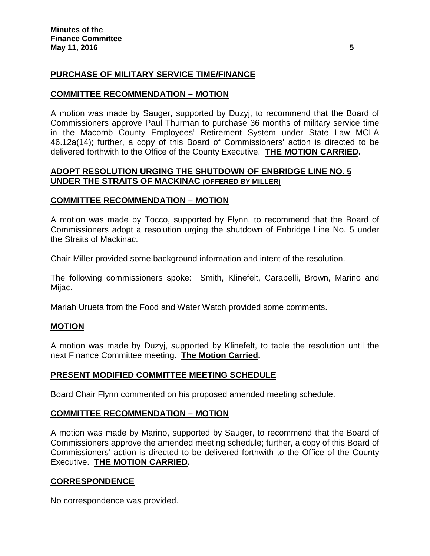## **PURCHASE OF MILITARY SERVICE TIME/FINANCE**

#### **COMMITTEE RECOMMENDATION – MOTION**

A motion was made by Sauger, supported by Duzyj, to recommend that the Board of Commissioners approve Paul Thurman to purchase 36 months of military service time in the Macomb County Employees' Retirement System under State Law MCLA 46.12a(14); further, a copy of this Board of Commissioners' action is directed to be delivered forthwith to the Office of the County Executive. **THE MOTION CARRIED.**

#### **ADOPT RESOLUTION URGING THE SHUTDOWN OF ENBRIDGE LINE NO. 5 UNDER THE STRAITS OF MACKINAC (OFFERED BY MILLER)**

#### **COMMITTEE RECOMMENDATION – MOTION**

A motion was made by Tocco, supported by Flynn, to recommend that the Board of Commissioners adopt a resolution urging the shutdown of Enbridge Line No. 5 under the Straits of Mackinac.

Chair Miller provided some background information and intent of the resolution.

The following commissioners spoke: Smith, Klinefelt, Carabelli, Brown, Marino and Mijac.

Mariah Urueta from the Food and Water Watch provided some comments.

#### **MOTION**

A motion was made by Duzyj, supported by Klinefelt, to table the resolution until the next Finance Committee meeting. **The Motion Carried.**

#### **PRESENT MODIFIED COMMITTEE MEETING SCHEDULE**

Board Chair Flynn commented on his proposed amended meeting schedule.

#### **COMMITTEE RECOMMENDATION – MOTION**

A motion was made by Marino, supported by Sauger, to recommend that the Board of Commissioners approve the amended meeting schedule; further, a copy of this Board of Commissioners' action is directed to be delivered forthwith to the Office of the County Executive. **THE MOTION CARRIED.**

#### **CORRESPONDENCE**

No correspondence was provided.